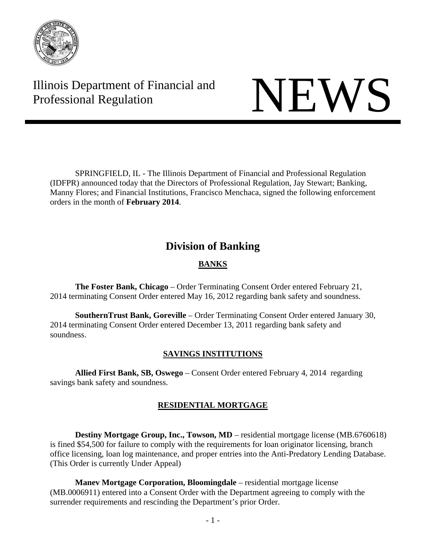

Illinois Department of Financial and Illinois Department of Financial and<br>Professional Regulation

SPRINGFIELD, IL - The Illinois Department of Financial and Professional Regulation (IDFPR) announced today that the Directors of Professional Regulation, Jay Stewart; Banking, Manny Flores; and Financial Institutions, Francisco Menchaca, signed the following enforcement orders in the month of **February 2014**.

# **Division of Banking**

# **BANKS**

**The Foster Bank, Chicago** – Order Terminating Consent Order entered February 21, 2014 terminating Consent Order entered May 16, 2012 regarding bank safety and soundness.

**SouthernTrust Bank, Goreville** – Order Terminating Consent Order entered January 30, 2014 terminating Consent Order entered December 13, 2011 regarding bank safety and soundness.

## **SAVINGS INSTITUTIONS**

**Allied First Bank, SB, Oswego** – Consent Order entered February 4, 2014 regarding savings bank safety and soundness.

# **RESIDENTIAL MORTGAGE**

**Destiny Mortgage Group, Inc., Towson, MD** – residential mortgage license (MB.6760618) is fined \$54,500 for failure to comply with the requirements for loan originator licensing, branch office licensing, loan log maintenance, and proper entries into the Anti-Predatory Lending Database. (This Order is currently Under Appeal)

**Manev Mortgage Corporation, Bloomingdale** – residential mortgage license (MB.0006911) entered into a Consent Order with the Department agreeing to comply with the surrender requirements and rescinding the Department's prior Order.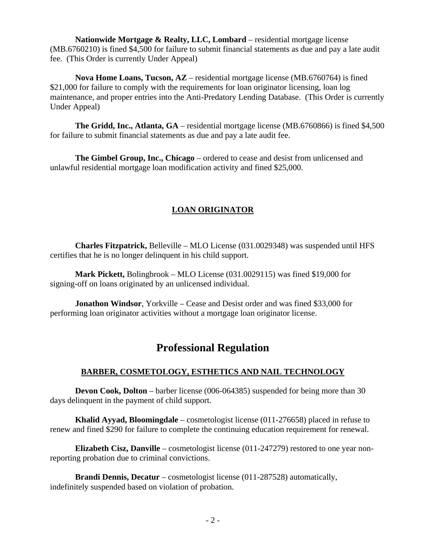**Nationwide Mortgage & Realty, LLC, Lombard** – residential mortgage license (MB.6760210) is fined \$4,500 for failure to submit financial statements as due and pay a late audit fee. (This Order is currently Under Appeal)

 **Nova Home Loans, Tucson, AZ** – residential mortgage license (MB.6760764) is fined \$21,000 for failure to comply with the requirements for loan originator licensing, loan log maintenance, and proper entries into the Anti-Predatory Lending Database. (This Order is currently Under Appeal)

 **The Gridd, Inc., Atlanta, GA** – residential mortgage license (MB.6760866) is fined \$4,500 for failure to submit financial statements as due and pay a late audit fee.

 **The Gimbel Group, Inc., Chicago** – ordered to cease and desist from unlicensed and unlawful residential mortgage loan modification activity and fined \$25,000.

## **LOAN ORIGINATOR**

 **Charles Fitzpatrick,** Belleville – MLO License (031.0029348) was suspended until HFS certifies that he is no longer delinquent in his child support.

 **Mark Pickett,** Bolingbrook – MLO License (031.0029115) was fined \$19,000 for signing-off on loans originated by an unlicensed individual.

 **Jonathon Windsor**, Yorkville – Cease and Desist order and was fined \$33,000 for performing loan originator activities without a mortgage loan originator license.

# **Professional Regulation**

## **BARBER, COSMETOLOGY, ESTHETICS AND NAIL TECHNOLOGY**

**Devon Cook, Dolton** – barber license (006-064385) suspended for being more than 30 days delinquent in the payment of child support.

**Khalid Ayyad, Bloomingdale** – cosmetologist license (011-276658) placed in refuse to renew and fined \$290 for failure to complete the continuing education requirement for renewal.

**Elizabeth Cisz, Danville** – cosmetologist license (011-247279) restored to one year nonreporting probation due to criminal convictions.

**Brandi Dennis, Decatur** – cosmetologist license (011-287528) automatically, indefinitely suspended based on violation of probation.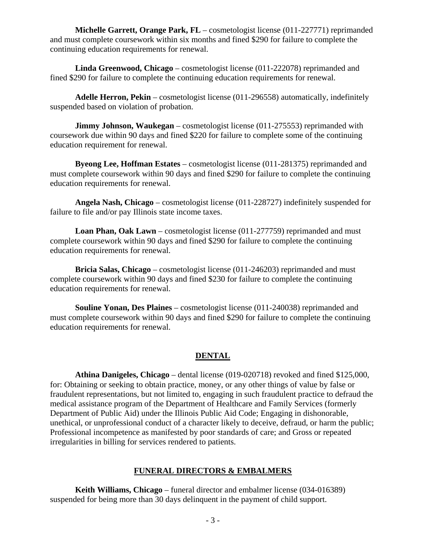**Michelle Garrett, Orange Park, FL** – cosmetologist license (011-227771) reprimanded and must complete coursework within six months and fined \$290 for failure to complete the continuing education requirements for renewal.

**Linda Greenwood, Chicago** – cosmetologist license (011-222078) reprimanded and fined \$290 for failure to complete the continuing education requirements for renewal.

**Adelle Herron, Pekin** – cosmetologist license (011-296558) automatically, indefinitely suspended based on violation of probation.

**Jimmy Johnson, Waukegan** – cosmetologist license (011-275553) reprimanded with coursework due within 90 days and fined \$220 for failure to complete some of the continuing education requirement for renewal.

**Byeong Lee, Hoffman Estates** – cosmetologist license (011-281375) reprimanded and must complete coursework within 90 days and fined \$290 for failure to complete the continuing education requirements for renewal.

**Angela Nash, Chicago** – cosmetologist license (011-228727) indefinitely suspended for failure to file and/or pay Illinois state income taxes.

**Loan Phan, Oak Lawn** – cosmetologist license (011-277759) reprimanded and must complete coursework within 90 days and fined \$290 for failure to complete the continuing education requirements for renewal.

**Bricia Salas, Chicago** – cosmetologist license (011-246203) reprimanded and must complete coursework within 90 days and fined \$230 for failure to complete the continuing education requirements for renewal.

**Souline Yonan, Des Plaines** – cosmetologist license (011-240038) reprimanded and must complete coursework within 90 days and fined \$290 for failure to complete the continuing education requirements for renewal.

### **DENTAL**

**Athina Danigeles, Chicago** – dental license (019-020718) revoked and fined \$125,000, for: Obtaining or seeking to obtain practice, money, or any other things of value by false or fraudulent representations, but not limited to, engaging in such fraudulent practice to defraud the medical assistance program of the Department of Healthcare and Family Services (formerly Department of Public Aid) under the Illinois Public Aid Code; Engaging in dishonorable, unethical, or unprofessional conduct of a character likely to deceive, defraud, or harm the public; Professional incompetence as manifested by poor standards of care; and Gross or repeated irregularities in billing for services rendered to patients.

#### **FUNERAL DIRECTORS & EMBALMERS**

**Keith Williams, Chicago** – funeral director and embalmer license (034-016389) suspended for being more than 30 days delinquent in the payment of child support.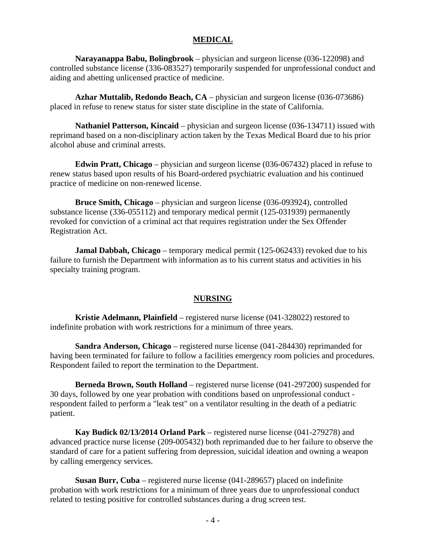#### **MEDICAL**

**Narayanappa Babu, Bolingbrook** – physician and surgeon license (036-122098) and controlled substance license (336-083527) temporarily suspended for unprofessional conduct and aiding and abetting unlicensed practice of medicine.

**Azhar Muttalib, Redondo Beach, CA** – physician and surgeon license (036-073686) placed in refuse to renew status for sister state discipline in the state of California.

**Nathaniel Patterson, Kincaid** – physician and surgeon license (036-134711) issued with reprimand based on a non-disciplinary action taken by the Texas Medical Board due to his prior alcohol abuse and criminal arrests.

**Edwin Pratt, Chicago** – physician and surgeon license (036-067432) placed in refuse to renew status based upon results of his Board-ordered psychiatric evaluation and his continued practice of medicine on non-renewed license.

**Bruce Smith, Chicago** – physician and surgeon license (036-093924), controlled substance license (336-055112) and temporary medical permit (125-031939) permanently revoked for conviction of a criminal act that requires registration under the Sex Offender Registration Act.

**Jamal Dabbah, Chicago** – temporary medical permit (125-062433) revoked due to his failure to furnish the Department with information as to his current status and activities in his specialty training program.

#### **NURSING**

**Kristie Adelmann, Plainfield** – registered nurse license (041-328022) restored to indefinite probation with work restrictions for a minimum of three years.

 **Sandra Anderson, Chicago** – registered nurse license (041-284430) reprimanded for having been terminated for failure to follow a facilities emergency room policies and procedures. Respondent failed to report the termination to the Department.

 **Berneda Brown, South Holland** – registered nurse license (041-297200) suspended for 30 days, followed by one year probation with conditions based on unprofessional conduct respondent failed to perform a "leak test" on a ventilator resulting in the death of a pediatric patient.

 **Kay Budick 02/13/2014 Orland Park** – registered nurse license (041-279278) and advanced practice nurse license (209-005432) both reprimanded due to her failure to observe the standard of care for a patient suffering from depression, suicidal ideation and owning a weapon by calling emergency services.

**Susan Burr, Cuba** – registered nurse license (041-289657) placed on indefinite probation with work restrictions for a minimum of three years due to unprofessional conduct related to testing positive for controlled substances during a drug screen test.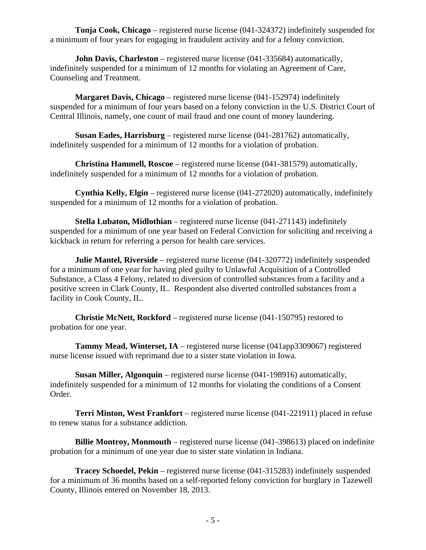**Tonja Cook, Chicago** – registered nurse license (041-324372) indefinitely suspended for a minimum of four years for engaging in fraudulent activity and for a felony conviction.

**John Davis, Charleston** – registered nurse license (041-335684) automatically, indefinitely suspended for a minimum of 12 months for violating an Agreement of Care, Counseling and Treatment.

**Margaret Davis, Chicago** – registered nurse license (041-152974) indefinitely suspended for a minimum of four years based on a felony conviction in the U.S. District Court of Central Illinois, namely, one count of mail fraud and one count of money laundering.

**Susan Eades, Harrisburg** – registered nurse license (041-281762) automatically, indefinitely suspended for a minimum of 12 months for a violation of probation.

**Christina Hammell, Roscoe** – registered nurse license (041-381579) automatically, indefinitely suspended for a minimum of 12 months for a violation of probation.

**Cynthia Kelly, Elgin** – registered nurse license (041-272020) automatically, indefinitely suspended for a minimum of 12 months for a violation of probation.

**Stella Lubaton, Midlothian** – registered nurse license (041-271143) indefinitely suspended for a minimum of one year based on Federal Conviction for soliciting and receiving a kickback in return for referring a person for health care services.

**Julie Mantel, Riverside** – registered nurse license (041-320772) indefinitely suspended for a minimum of one year for having pled guilty to Unlawful Acquisition of a Controlled Substance, a Class 4 Felony, related to diversion of controlled substances from a facility and a positive screen in Clark County, IL. Respondent also diverted controlled substances from a facility in Cook County, IL.

**Christie McNett, Rockford** – registered nurse license (041-150795) restored to probation for one year.

**Tammy Mead, Winterset, IA** – registered nurse license (041app3309067) registered nurse license issued with reprimand due to a sister state violation in Iowa.

**Susan Miller, Algonquin** – registered nurse license (041-198916) automatically, indefinitely suspended for a minimum of 12 months for violating the conditions of a Consent Order.

**Terri Minton, West Frankfort** – registered nurse license (041-221911) placed in refuse to renew status for a substance addiction.

**Billie Montroy, Monmouth** – registered nurse license (041-398613) placed on indefinite probation for a minimum of one year due to sister state violation in Indiana.

**Tracey Schoedel, Pekin** – registered nurse license (041-315283) indefinitely suspended for a minimum of 36 months based on a self-reported felony conviction for burglary in Tazewell County, Illinois entered on November 18, 2013.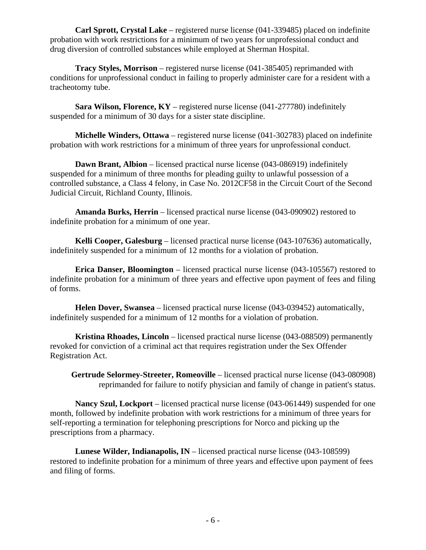**Carl Sprott, Crystal Lake** – registered nurse license (041-339485) placed on indefinite probation with work restrictions for a minimum of two years for unprofessional conduct and drug diversion of controlled substances while employed at Sherman Hospital.

**Tracy Styles, Morrison** – registered nurse license (041-385405) reprimanded with conditions for unprofessional conduct in failing to properly administer care for a resident with a tracheotomy tube.

**Sara Wilson, Florence, KY** – registered nurse license (041-277780) indefinitely suspended for a minimum of 30 days for a sister state discipline.

**Michelle Winders, Ottawa** – registered nurse license (041-302783) placed on indefinite probation with work restrictions for a minimum of three years for unprofessional conduct.

**Dawn Brant, Albion** – licensed practical nurse license (043-086919) indefinitely suspended for a minimum of three months for pleading guilty to unlawful possession of a controlled substance, a Class 4 felony, in Case No. 2012CF58 in the Circuit Court of the Second Judicial Circuit, Richland County, Illinois.

**Amanda Burks, Herrin** – licensed practical nurse license (043-090902) restored to indefinite probation for a minimum of one year.

**Kelli Cooper, Galesburg** – licensed practical nurse license (043-107636) automatically, indefinitely suspended for a minimum of 12 months for a violation of probation.

**Erica Danser, Bloomington** – licensed practical nurse license (043-105567) restored to indefinite probation for a minimum of three years and effective upon payment of fees and filing of forms.

**Helen Dover, Swansea** – licensed practical nurse license (043-039452) automatically, indefinitely suspended for a minimum of 12 months for a violation of probation.

**Kristina Rhoades, Lincoln** – licensed practical nurse license (043-088509) permanently revoked for conviction of a criminal act that requires registration under the Sex Offender Registration Act.

**Gertrude Selormey-Streeter, Romeoville** – licensed practical nurse license (043-080908) reprimanded for failure to notify physician and family of change in patient's status.

**Nancy Szul, Lockport** – licensed practical nurse license (043-061449) suspended for one month, followed by indefinite probation with work restrictions for a minimum of three years for self-reporting a termination for telephoning prescriptions for Norco and picking up the prescriptions from a pharmacy.

**Lunese Wilder, Indianapolis, IN** – licensed practical nurse license (043-108599) restored to indefinite probation for a minimum of three years and effective upon payment of fees and filing of forms.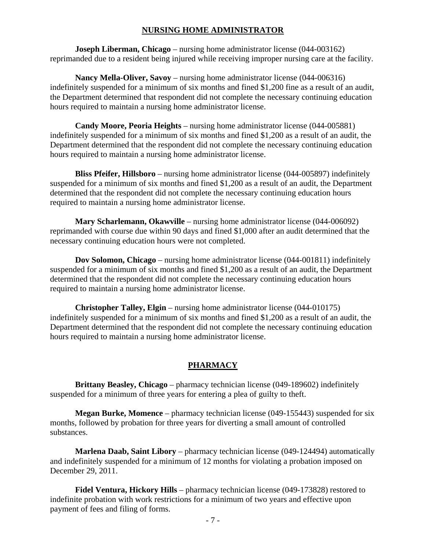#### **NURSING HOME ADMINISTRATOR**

**Joseph Liberman, Chicago** – nursing home administrator license (044-003162) reprimanded due to a resident being injured while receiving improper nursing care at the facility.

**Nancy Mella-Oliver, Savoy** – nursing home administrator license (044-006316) indefinitely suspended for a minimum of six months and fined \$1,200 fine as a result of an audit, the Department determined that respondent did not complete the necessary continuing education hours required to maintain a nursing home administrator license.

**Candy Moore, Peoria Heights** – nursing home administrator license (044-005881) indefinitely suspended for a minimum of six months and fined \$1,200 as a result of an audit, the Department determined that the respondent did not complete the necessary continuing education hours required to maintain a nursing home administrator license.

**Bliss Pfeifer, Hillsboro** – nursing home administrator license (044-005897) indefinitely suspended for a minimum of six months and fined \$1,200 as a result of an audit, the Department determined that the respondent did not complete the necessary continuing education hours required to maintain a nursing home administrator license.

**Mary Scharlemann, Okawville** – nursing home administrator license (044-006092) reprimanded with course due within 90 days and fined \$1,000 after an audit determined that the necessary continuing education hours were not completed.

**Dov Solomon, Chicago** – nursing home administrator license (044-001811) indefinitely suspended for a minimum of six months and fined \$1,200 as a result of an audit, the Department determined that the respondent did not complete the necessary continuing education hours required to maintain a nursing home administrator license.

**Christopher Talley, Elgin** – nursing home administrator license (044-010175) indefinitely suspended for a minimum of six months and fined \$1,200 as a result of an audit, the Department determined that the respondent did not complete the necessary continuing education hours required to maintain a nursing home administrator license.

#### **PHARMACY**

**Brittany Beasley, Chicago** – pharmacy technician license (049-189602) indefinitely suspended for a minimum of three years for entering a plea of guilty to theft.

**Megan Burke, Momence** – pharmacy technician license (049-155443) suspended for six months, followed by probation for three years for diverting a small amount of controlled substances.

**Marlena Daab, Saint Libory** – pharmacy technician license (049-124494) automatically and indefinitely suspended for a minimum of 12 months for violating a probation imposed on December 29, 2011.

**Fidel Ventura, Hickory Hills** – pharmacy technician license (049-173828) restored to indefinite probation with work restrictions for a minimum of two years and effective upon payment of fees and filing of forms.